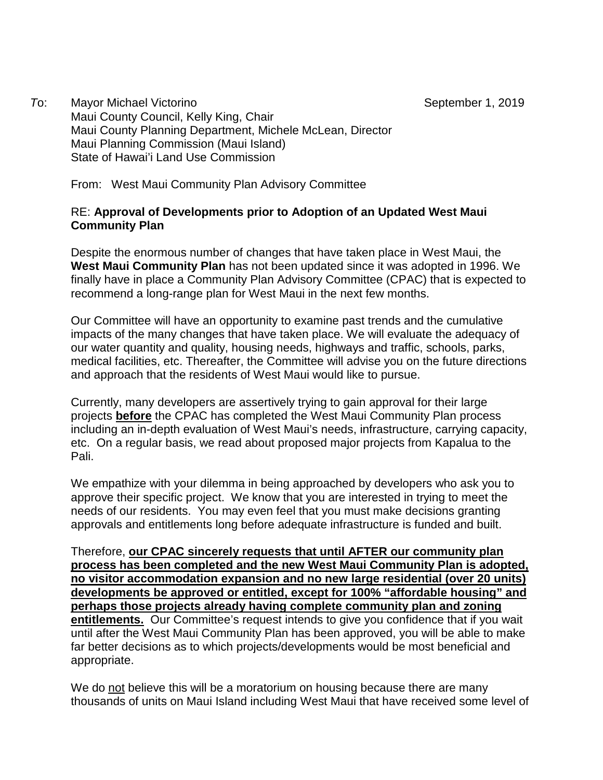*T*o: Mayor Michael Victorino Mayor Michael Victorino September 1, 2019 Maui County Council, Kelly King, Chair Maui County Planning Department, Michele McLean, Director Maui Planning Commission (Maui Island) State of Hawai'i Land Use Commission

From: West Maui Community Plan Advisory Committee

## RE: **Approval of Developments prior to Adoption of an Updated West Maui Community Plan**

Despite the enormous number of changes that have taken place in West Maui, the **West Maui Community Plan** has not been updated since it was adopted in 1996. We finally have in place a Community Plan Advisory Committee (CPAC) that is expected to recommend a long-range plan for West Maui in the next few months.

Our Committee will have an opportunity to examine past trends and the cumulative impacts of the many changes that have taken place. We will evaluate the adequacy of our water quantity and quality, housing needs, highways and traffic, schools, parks, medical facilities, etc. Thereafter, the Committee will advise you on the future directions and approach that the residents of West Maui would like to pursue.

Currently, many developers are assertively trying to gain approval for their large projects **before** the CPAC has completed the West Maui Community Plan process including an in-depth evaluation of West Maui's needs, infrastructure, carrying capacity, etc. On a regular basis, we read about proposed major projects from Kapalua to the Pali.

We empathize with your dilemma in being approached by developers who ask you to approve their specific project. We know that you are interested in trying to meet the needs of our residents. You may even feel that you must make decisions granting approvals and entitlements long before adequate infrastructure is funded and built.

Therefore, **our CPAC sincerely requests that until AFTER our community plan process has been completed and the new West Maui Community Plan is adopted, no visitor accommodation expansion and no new large residential (over 20 units) developments be approved or entitled, except for 100% "affordable housing" and perhaps those projects already having complete community plan and zoning entitlements.** Our Committee's request intends to give you confidence that if you wait until after the West Maui Community Plan has been approved, you will be able to make far better decisions as to which projects/developments would be most beneficial and appropriate.

We do not believe this will be a moratorium on housing because there are many thousands of units on Maui Island including West Maui that have received some level of